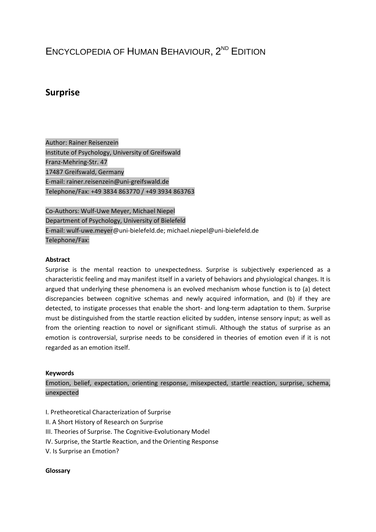# ENCYCLOPEDIA OF HUMAN BEHAVIOUR, 2<sup>ND</sup> EDITION

## **Surprise**

Author: Rainer Reisenzein Institute of Psychology, University of Greifswald Franz‐Mehring‐Str. 47 17487 Greifswald, Germany E‐mail: rainer.reisenzein@uni‐greifswald.de Telephone/Fax: +49 3834 863770 / +49 3934 863763

Co‐Authors: Wulf‐Uwe Meyer, Michael Niepel Department of Psychology, University of Bielefeld E‐mail: wulf‐uwe.meyer@uni‐bielefeld.de; michael.niepel@uni‐bielefeld.de Telephone/Fax:

## **Abstract**

Surprise is the mental reaction to unexpectedness. Surprise is subjectively experienced as a characteristic feeling and may manifest itself in a variety of behaviors and physiological changes. It is argued that underlying these phenomena is an evolved mechanism whose function is to (a) detect discrepancies between cognitive schemas and newly acquired information, and (b) if they are detected, to instigate processes that enable the short- and long-term adaptation to them. Surprise must be distinguished from the startle reaction elicited by sudden, intense sensory input; as well as from the orienting reaction to novel or significant stimuli. Although the status of surprise as an emotion is controversial, surprise needs to be considered in theories of emotion even if it is not regarded as an emotion itself.

## **Keywords**

Emotion, belief, expectation, orienting response, misexpected, startle reaction, surprise, schema, unexpected

- I. Pretheoretical Characterization of Surprise
- II. A Short History of Research on Surprise
- III. Theories of Surprise. The Cognitive‐Evolutionary Model
- IV. Surprise, the Startle Reaction, and the Orienting Response
- V. Is Surprise an Emotion?

## **Glossary**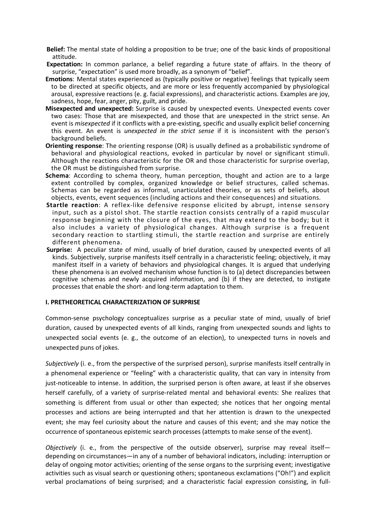**Belief:** The mental state of holding a proposition to be true; one of the basic kinds of propositional attitude.

- **Expectation:** In common parlance, a belief regarding a future state of affairs. In the theory of surprise, "expectation" is used more broadly, as a synonym of "belief".
- **Emotions**: Mental states experienced as (typically positive or negative) feelings that typically seem to be directed at specific objects, and are more or less frequently accompanied by physiological arousal, expressive reactions (e. g. facial expressions), and characteristic actions. Examples are joy, sadness, hope, fear, anger, pity, guilt, and pride.
- **Misexpected and unexpected:** Surprise is caused by unexpected events. Unexpected events cover two cases: Those that are misexpected, and those that are unexpected in the strict sense. An event is *misexpected* if it conflicts with a pre-existing, specific and usually explicit belief concerning this event. An event is *unexpected in the strict sense* if it is inconsistent with the person's background beliefs.
- **Orienting response**: The orienting response (OR) is usually defined as a probabilistic syndrome of behavioral and physiological reactions, evoked in particular by novel or significant stimuli. Although the reactions characteristic for the OR and those characteristic for surprise overlap, the OR must be distinguished from surprise.
- **Schema**: According to schema theory, human perception, thought and action are to a large extent controlled by complex, organized knowledge or belief structures, called schemas. Schemas can be regarded as informal, unarticulated theories, or as sets of beliefs, about objects, events, event sequences (including actions and their consequences) and situations.
- **Startle reaction**: A reflex‐like defensive response elicited by abrupt, intense sensory input, such as a pistol shot. The startle reaction consists centrally of a rapid muscular response beginning with the closure of the eyes, that may extend to the body; but it also includes a variety of physiological changes. Although surprise is a frequent secondary reaction to startling stimuli, the startle reaction and surprise are entirely different phenomena.
- **Surprise:** A peculiar state of mind, usually of brief duration, caused by unexpected events of all kinds. Subjectively, surprise manifests itself centrally in a characteristic feeling; objectively, it may manifest itself in a variety of behaviors and physiological changes. It is argued that underlying these phenomena is an evolved mechanism whose function is to (a) detect discrepancies between cognitive schemas and newly acquired information, and (b) if they are detected, to instigate processes that enable the short‐ and long‐term adaptation to them.

#### **I. PRETHEORETICAL CHARACTERIZATION OF SURPRISE**

Common‐sense psychology conceptualizes surprise as a peculiar state of mind, usually of brief duration, caused by unexpected events of all kinds, ranging from unexpected sounds and lights to unexpected social events (e. g., the outcome of an election), to unexpected turns in novels and unexpected puns of jokes.

*Subjectively* (i. e., from the perspective of the surprised person), surprise manifests itself centrally in a phenomenal experience or "feeling" with a characteristic quality, that can vary in intensity from just-noticeable to intense. In addition, the surprised person is often aware, at least if she observes herself carefully, of a variety of surprise-related mental and behavioral events: She realizes that something is different from usual or other than expected; she notices that her ongoing mental processes and actions are being interrupted and that her attention is drawn to the unexpected event; she may feel curiosity about the nature and causes of this event; and she may notice the occurrence of spontaneous epistemic search processes (attempts to make sense of the event).

*Objectively* (i. e., from the perspective of the outside observer), surprise may reveal itselfdepending on circumstances—in any of a number of behavioral indicators, including: interruption or delay of ongoing motor activities; orienting of the sense organs to the surprising event; investigative activities such as visual search or questioning others; spontaneous exclamations ("Oh!") and explicit verbal proclamations of being surprised; and a characteristic facial expression consisting, in full‐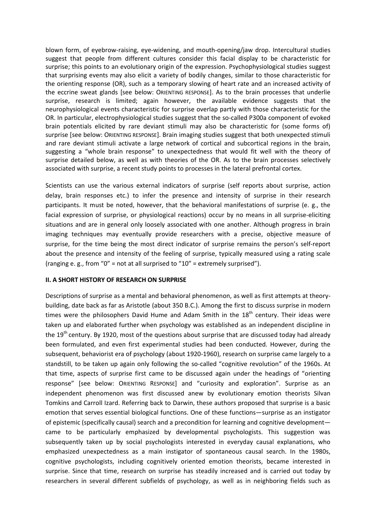blown form, of eyebrow-raising, eye-widening, and mouth-opening/jaw drop. Intercultural studies suggest that people from different cultures consider this facial display to be characteristic for surprise; this points to an evolutionary origin of the expression. Psychophysiological studies suggest that surprising events may also elicit a variety of bodily changes, similar to those characteristic for the orienting response (OR), such as a temporary slowing of heart rate and an increased activity of the eccrine sweat glands [see below: ORIENTING RESPONSE]. As to the brain processes that underlie surprise, research is limited; again however, the available evidence suggests that the neurophysiological events characteristic for surprise overlap partly with those characteristic for the OR. In particular, electrophysiological studies suggest that the so-called P300a component of evoked brain potentials elicited by rare deviant stimuli may also be characteristic for (some forms of) surprise [see below: ORIENTING RESPONSE]. Brain imaging studies suggest that both unexpected stimuli and rare deviant stimuli activate a large network of cortical and subcortical regions in the brain, suggesting a "whole brain response" to unexpectedness that would fit well with the theory of surprise detailed below, as well as with theories of the OR. As to the brain processes selectively associated with surprise, a recent study points to processes in the lateral prefrontal cortex.

Scientists can use the various external indicators of surprise (self reports about surprise, action delay, brain responses etc.) to infer the presence and intensity of surprise in their research participants. It must be noted, however, that the behavioral manifestations of surprise (e. g., the facial expression of surprise, or physiological reactions) occur by no means in all surprise-eliciting situations and are in general only loosely associated with one another. Although progress in brain imaging techniques may eventually provide researchers with a precise, objective measure of surprise, for the time being the most direct indicator of surprise remains the person's self-report about the presence and intensity of the feeling of surprise, typically measured using a rating scale (ranging e. g., from "0" = not at all surprised to "10" = extremely surprised").

#### **II. A SHORT HISTORY OF RESEARCH ON SURPRISE**

Descriptions of surprise as a mental and behavioral phenomenon, as well as first attempts at theory‐ building, date back as far as Aristotle (about 350 B.C.). Among the first to discuss surprise in modern times were the philosophers David Hume and Adam Smith in the  $18<sup>th</sup>$  century. Their ideas were taken up and elaborated further when psychology was established as an independent discipline in the 19<sup>th</sup> century. By 1920, most of the questions about surprise that are discussed today had already been formulated, and even first experimental studies had been conducted. However, during the subsequent, behaviorist era of psychology (about 1920-1960), research on surprise came largely to a standstill, to be taken up again only following the so-called "cognitive revolution" of the 1960s. At that time, aspects of surprise first came to be discussed again under the headings of "orienting response" [see below: ORIENTING RESPONSE] and "curiosity and exploration". Surprise as an independent phenomenon was first discussed anew by evolutionary emotion theorists Silvan Tomkins and Carroll Izard. Referring back to Darwin, these authors proposed that surprise is a basic emotion that serves essential biological functions. One of these functions—surprise as an instigator of epistemic (specifically causal) search and a precondition for learning and cognitive development came to be particularly emphasized by developmental psychologists. This suggestion was subsequently taken up by social psychologists interested in everyday causal explanations, who emphasized unexpectedness as a main instigator of spontaneous causal search. In the 1980s, cognitive psychologists, including cognitively oriented emotion theorists, became interested in surprise. Since that time, research on surprise has steadily increased and is carried out today by researchers in several different subfields of psychology, as well as in neighboring fields such as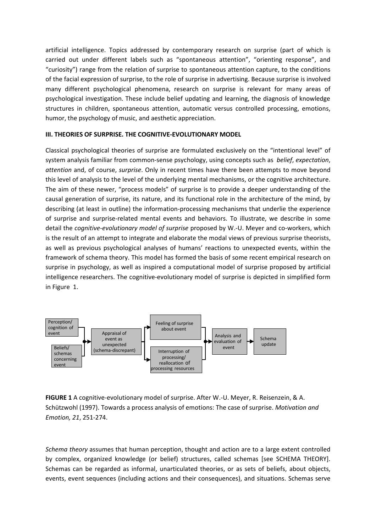artificial intelligence. Topics addressed by contemporary research on surprise (part of which is carried out under different labels such as "spontaneous attention", "orienting response", and "curiosity") range from the relation of surprise to spontaneous attention capture, to the conditions of the facial expression of surprise, to the role of surprise in advertising. Because surprise is involved many different psychological phenomena, research on surprise is relevant for many areas of psychological investigation. These include belief updating and learning, the diagnosis of knowledge structures in children, spontaneous attention, automatic versus controlled processing, emotions, humor, the psychology of music, and aesthetic appreciation.

## **III. THEORIES OF SURPRISE. THE COGNITIVE‐EVOLUTIONARY MODEL**

Classical psychological theories of surprise are formulated exclusively on the "intentional level" of system analysis familiar from common‐sense psychology, using concepts such as *belief*, *expectation*, *attention* and, of course, *surprise*. Only in recent times have there been attempts to move beyond this level of analysis to the level of the underlying mental mechanisms, or the cognitive architecture. The aim of these newer, "process models" of surprise is to provide a deeper understanding of the causal generation of surprise, its nature, and its functional role in the architecture of the mind, by describing (at least in outline) the information‐processing mechanisms that underlie the experience of surprise and surprise‐related mental events and behaviors. To illustrate, we describe in some detail the *cognitive‐evolutionary model of surprise* proposed by W.‐U. Meyer and co‐workers, which is the result of an attempt to integrate and elaborate the modal views of previous surprise theorists, as well as previous psychological analyses of humans' reactions to unexpected events, within the framework of schema theory. This model has formed the basis of some recent empirical research on surprise in psychology, as well as inspired a computational model of surprise proposed by artificial intelligence researchers. The cognitive‐evolutionary model of surprise is depicted in simplified form in Figure 1.



**FIGURE 1** A cognitive‐evolutionary model of surprise. After W.‐U. Meyer, R. Reisenzein, & A. Schützwohl (1997). Towards a process analysis of emotions: The case of surprise. *Motivation and Emotion, 21*, 251‐274.

*Schema theory* assumes that human perception, thought and action are to a large extent controlled by complex, organized knowledge (or belief) structures, called schemas [see SCHEMA THEORY]. Schemas can be regarded as informal, unarticulated theories, or as sets of beliefs, about objects, events, event sequences (including actions and their consequences), and situations. Schemas serve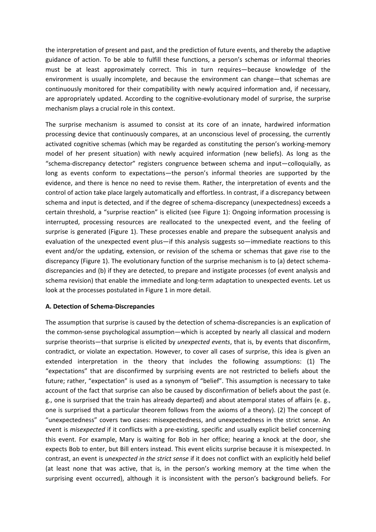the interpretation of present and past, and the prediction of future events, and thereby the adaptive guidance of action. To be able to fulfill these functions, a person's schemas or informal theories must be at least approximately correct. This in turn requires—because knowledge of the environment is usually incomplete, and because the environment can change—that schemas are continuously monitored for their compatibility with newly acquired information and, if necessary, are appropriately updated. According to the cognitive-evolutionary model of surprise, the surprise mechanism plays a crucial role in this context.

The surprise mechanism is assumed to consist at its core of an innate, hardwired information processing device that continuously compares, at an unconscious level of processing, the currently activated cognitive schemas (which may be regarded as constituting the person's working-memory model of her present situation) with newly acquired information (new beliefs). As long as the "schema‐discrepancy detector" registers congruence between schema and input—colloquially, as long as events conform to expectations—the person's informal theories are supported by the evidence, and there is hence no need to revise them. Rather, the interpretation of events and the control of action take place largely automatically and effortless. In contrast, if a discrepancy between schema and input is detected, and if the degree of schema‐discrepancy (unexpectedness) exceeds a certain threshold, a "surprise reaction" is elicited (see Figure 1): Ongoing information processing is interrupted, processing resources are reallocated to the unexpected event, and the feeling of surprise is generated (Figure 1). These processes enable and prepare the subsequent analysis and evaluation of the unexpected event plus—if this analysis suggests so—immediate reactions to this event and/or the updating, extension, or revision of the schema or schemas that gave rise to the discrepancy (Figure 1). The evolutionary function of the surprise mechanism is to (a) detect schema‐ discrepancies and (b) if they are detected, to prepare and instigate processes (of event analysis and schema revision) that enable the immediate and long-term adaptation to unexpected events. Let us look at the processes postulated in Figure 1 in more detail.

## **A. Detection of Schema‐Discrepancies**

The assumption that surprise is caused by the detection of schema‐discrepancies is an explication of the common‐sense psychological assumption—which is accepted by nearly all classical and modern surprise theorists—that surprise is elicited by *unexpected events*, that is, by events that disconfirm, contradict, or violate an expectation. However, to cover all cases of surprise, this idea is given an extended interpretation in the theory that includes the following assumptions: (1) The "expectations" that are disconfirmed by surprising events are not restricted to beliefs about the future; rather, "expectation" is used as a synonym of "belief". This assumption is necessary to take account of the fact that surprise can also be caused by disconfirmation of beliefs about the past (e. g., one is surprised that the train has already departed) and about atemporal states of affairs (e. g., one is surprised that a particular theorem follows from the axioms of a theory). (2) The concept of "unexpectedness" covers two cases: misexpectedness, and unexpectedness in the strict sense. An event is *misexpected* if it conflicts with a pre-existing, specific and usually explicit belief concerning this event. For example, Mary is waiting for Bob in her office; hearing a knock at the door, she expects Bob to enter, but Bill enters instead. This event elicits surprise because it is misexpected. In contrast, an event is *unexpected in the strict sense* if it does not conflict with an explicitly held belief (at least none that was active, that is, in the person's working memory at the time when the surprising event occurred), although it is inconsistent with the person's background beliefs. For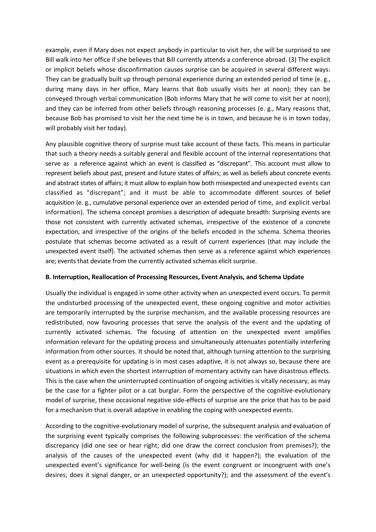example, even if Mary does not expect anybody in particular to visit her, she will be surprised to see Bill walk into her office if she believes that Bill currently attends a conference abroad. (3) The explicit or implicit beliefs whose disconfirmation causes surprise can be acquired in several different ways: They can be gradually built up through personal experience during an extended period of time (e. g., during many days in her office, Mary learns that Bob usually visits her at noon); they can be conveyed through verbal communication (Bob informs Mary that he will come to visit her at noon); and they can be inferred from other beliefs through reasoning processes (e. g., Mary reasons that, because Bob has promised to visit her the next time he is in town, and because he is in town today, will probably visit her today).

Any plausible cognitive theory of surprise must take account of these facts. This means in particular that such a theory needs a suitably general and flexible account of the internal representations that serve as a reference against which an event is classified as "discrepant". This account must allow to represent beliefs about past, present and future states of affairs; as well as beliefs about concrete events and abstract states of affairs; it must allow to explain how both misexpected and unexpected events can classified as "discrepant"; and it must be able to accommodate different sources of belief acquisition (e. g., cumulative personal experience over an extended period of time, and explicit verbal information). The schema concept promises a description of adequate breadth: Surprising events are those not consistent with currently activated schemas, irrespective of the existence of a concrete expectation, and irrespective of the origins of the beliefs encoded in the schema. Schema theories postulate that schemas become activated as a result of current experiences (that may include the unexpected event itself). The activated schemas then serve as a reference against which experiences are; events that deviate from the currently activated schemas elicit surprise.

## **B. Interruption, Reallocation of Processing Resources, Event Analysis, and Schema Update**

Usually the individual is engaged in some other activity when an unexpected event occurs. To permit the undisturbed processing of the unexpected event, these ongoing cognitive and motor activities are temporarily interrupted by the surprise mechanism, and the available processing resources are redistributed, now favouring processes that serve the analysis of the event and the updating of currently activated schemas. The focusing of attention on the unexpected event amplifies information relevant for the updating process and simultaneously attenuates potentially interfering information from other sources. It should be noted that, although turning attention to the surprising event as a prerequisite for updating is in most cases adaptive, it is not always so, because there are situations in which even the shortest interruption of momentary activity can have disastrous effects. This is the case when the uninterrupted continuation of ongoing activities is vitally necessary, as may be the case for a fighter pilot or a cat burglar. Form the perspective of the cognitive-evolutionary model of surprise, these occasional negative side‐effects of surprise are the price that has to be paid for a mechanism that is overall adaptive in enabling the coping with unexpected events.

According to the cognitive‐evolutionary model of surprise, the subsequent analysis and evaluation of the surprising event typically comprises the following subprocesses: the verification of the schema discrepancy (did one see or hear right; did one draw the correct conclusion from premises?); the analysis of the causes of the unexpected event (why did it happen?); the evaluation of the unexpected event's significance for well-being (is the event congruent or incongruent with one's desires; does it signal danger, or an unexpected opportunity?); and the assessment of the event's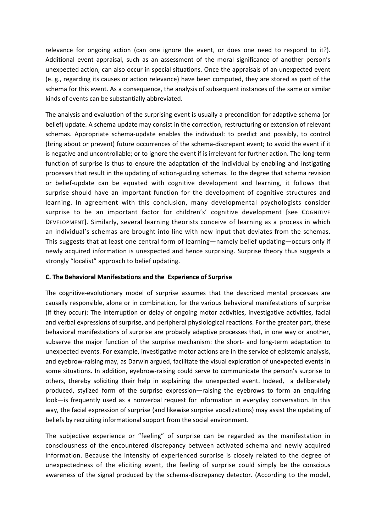relevance for ongoing action (can one ignore the event, or does one need to respond to it?). Additional event appraisal, such as an assessment of the moral significance of another person's unexpected action, can also occur in special situations. Once the appraisals of an unexpected event (e. g., regarding its causes or action relevance) have been computed, they are stored as part of the schema for this event. As a consequence, the analysis of subsequent instances of the same or similar kinds of events can be substantially abbreviated.

The analysis and evaluation of the surprising event is usually a precondition for adaptive schema (or belief) update. A schema update may consist in the correction, restructuring or extension of relevant schemas. Appropriate schema-update enables the individual: to predict and possibly, to control (bring about or prevent) future occurrences of the schema‐discrepant event; to avoid the event if it is negative and uncontrollable; or to ignore the event if is irrelevant for further action. The long-term function of surprise is thus to ensure the adaptation of the individual by enabling and instigating processes that result in the updating of action‐guiding schemas. To the degree that schema revision or belief-update can be equated with cognitive development and learning, it follows that surprise should have an important function for the development of cognitive structures and learning. In agreement with this conclusion, many developmental psychologists consider surprise to be an important factor for children's' cognitive development [see COGNITIVE DEVELOPMENT]. Similarly, several learning theorists conceive of learning as a process in which an individual's schemas are brought into line with new input that deviates from the schemas. This suggests that at least one central form of learning—namely belief updating—occurs only if newly acquired information is unexpected and hence surprising. Surprise theory thus suggests a strongly "localist" approach to belief updating.

## **C. The Behavioral Manifestations and the Experience of Surprise**

The cognitive-evolutionary model of surprise assumes that the described mental processes are causally responsible, alone or in combination, for the various behavioral manifestations of surprise (if they occur): The interruption or delay of ongoing motor activities, investigative activities, facial and verbal expressions of surprise, and peripheral physiological reactions. For the greater part, these behavioral manifestations of surprise are probably adaptive processes that, in one way or another, subserve the major function of the surprise mechanism: the short- and long-term adaptation to unexpected events. For example, investigative motor actions are in the service of epistemic analysis, and eyebrow-raising may, as Darwin argued, facilitate the visual exploration of unexpected events in some situations. In addition, eyebrow-raising could serve to communicate the person's surprise to others, thereby soliciting their help in explaining the unexpected event. Indeed, a deliberately produced, stylized form of the surprise expression—raising the eyebrows to form an enquiring look—is frequently used as a nonverbal request for information in everyday conversation. In this way, the facial expression of surprise (and likewise surprise vocalizations) may assist the updating of beliefs by recruiting informational support from the social environment.

The subjective experience or "feeling" of surprise can be regarded as the manifestation in consciousness of the encountered discrepancy between activated schema and newly acquired information. Because the intensity of experienced surprise is closely related to the degree of unexpectedness of the eliciting event, the feeling of surprise could simply be the conscious awareness of the signal produced by the schema-discrepancy detector. (According to the model,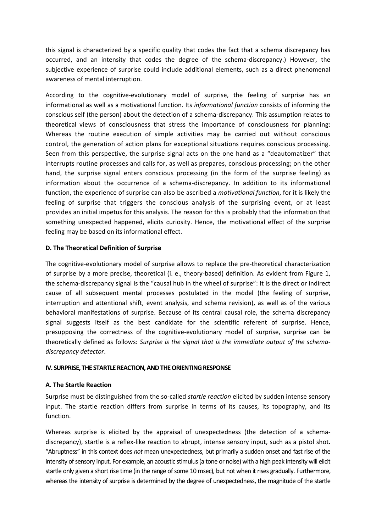this signal is characterized by a specific quality that codes the fact that a schema discrepancy has occurred, and an intensity that codes the degree of the schema‐discrepancy.) However, the subjective experience of surprise could include additional elements, such as a direct phenomenal awareness of mental interruption.

According to the cognitive‐evolutionary model of surprise, the feeling of surprise has an informational as well as a motivational function. Its *informational function* consists of informing the conscious self (the person) about the detection of a schema‐discrepancy. This assumption relates to theoretical views of consciousness that stress the importance of consciousness for planning: Whereas the routine execution of simple activities may be carried out without conscious control, the generation of action plans for exceptional situations requires conscious processing. Seen from this perspective, the surprise signal acts on the one hand as a "deautomatizer" that interrupts routine processes and calls for, as well as prepares, conscious processing; on the other hand, the surprise signal enters conscious processing (in the form of the surprise feeling) as information about the occurrence of a schema‐discrepancy. In addition to its informational function, the experience of surprise can also be ascribed a *motivational function*, for it is likely the feeling of surprise that triggers the conscious analysis of the surprising event, or at least provides an initial impetus for this analysis. The reason for this is probably that the information that something unexpected happened, elicits curiosity. Hence, the motivational effect of the surprise feeling may be based on its informational effect.

## **D. The Theoretical Definition of Surprise**

The cognitive-evolutionary model of surprise allows to replace the pre-theoretical characterization of surprise by a more precise, theoretical (i. e., theory‐based) definition. As evident from Figure 1, the schema-discrepancy signal is the "causal hub in the wheel of surprise": It is the direct or indirect cause of all subsequent mental processes postulated in the model (the feeling of surprise, interruption and attentional shift, event analysis, and schema revision), as well as of the various behavioral manifestations of surprise. Because of its central causal role, the schema discrepancy signal suggests itself as the best candidate for the scientific referent of surprise. Hence, presupposing the correctness of the cognitive-evolutionary model of surprise, surprise can be theoretically defined as follows: *Surprise is the signal that is the immediate output of the schema‐ discrepancy detector*.

## **IV. SURPRISE, THE STARTLE REACTION, AND THE ORIENTING RESPONSE**

## **A. The Startle Reaction**

Surprise must be distinguished from the so‐called *startle reaction* elicited by sudden intense sensory input. The startle reaction differs from surprise in terms of its causes, its topography, and its function.

Whereas surprise is elicited by the appraisal of unexpectedness (the detection of a schemadiscrepancy), startle is a reflex‐like reaction to abrupt, intense sensory input, such as a pistol shot. "Abruptness" in this context does *not* mean unexpectedness, but primarily a sudden onset and fast rise of the intensity of sensory input. For example, an acoustic stimulus (a tone or noise) with a high peak intensity will elicit startle only given a short rise time (in the range of some 10 msec), but not when it rises gradually. Furthermore, whereas the intensity of surprise is determined by the degree of unexpectedness, the magnitude of the startle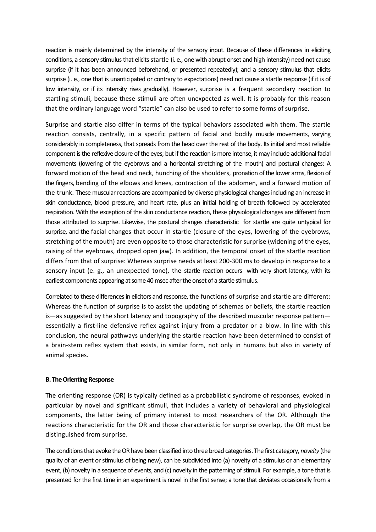reaction is mainly determined by the intensity of the sensory input. Because of these differences in eliciting conditions, a sensory stimulus that elicits startle (i. e., one with abrupt onset and high intensity) need not cause surprise (if it has been announced beforehand, or presented repeatedly); and a sensory stimulus that elicits surprise (i. e., one that is unanticipated or contrary to expectations) need not cause a startle response (if it is of low intensity, or if its intensity rises gradually). However, surprise is a frequent secondary reaction to startling stimuli, because these stimuli are often unexpected as well. It is probably for this reason that the ordinary language word "startle" can also be used to refer to some forms of surprise.

Surprise and startle also differ in terms of the typical behaviors associated with them. The startle reaction consists, centrally, in a specific pattern of facial and bodily muscle movements, varying considerably in completeness, that spreads from the head over the rest of the body. Its initial and most reliable component is the reflexive closure of the eyes; but if the reaction is more intense, it may include additional facial movements (lowering of the eyebrows and a horizontal stretching of the mouth) and postural changes: A forward motion of the head and neck, hunching of the shoulders, pronation of the lower arms, flexion of the fingers, bending of the elbows and knees, contraction of the abdomen, and a forward motion of the trunk. These muscular reactions are accompanied by diverse physiological changes including an increase in skin conductance, blood pressure, and heart rate, plus an initial holding of breath followed by accelerated respiration. With the exception of the skin conductance reaction, these physiological changes are different from those attributed to surprise. Likewise, the postural changes characteristic for startle are quite untypical for surprise, and the facial changes that occur in startle (closure of the eyes, lowering of the eyebrows, stretching of the mouth) are even opposite to those characteristic for surprise (widening of the eyes, raising of the eyebrows, dropped open jaw). In addition, the temporal onset of the startle reaction differs from that of surprise: Whereas surprise needs at least 200‐300 ms to develop in response to a sensory input (e. g., an unexpected tone), the startle reaction occurs with very short latency, with its earliest components appearing at some 40 msec after the onset of a startle stimulus.

Correlated to these differences in elicitors and response, the functions of surprise and startle are different: Whereas the function of surprise is to assist the updating of schemas or beliefs, the startle reaction is—as suggested by the short latency and topography of the described muscular response pattern essentially a first-line defensive reflex against injury from a predator or a blow. In line with this conclusion, the neural pathways underlying the startle reaction have been determined to consist of a brain‐stem reflex system that exists, in similar form, not only in humans but also in variety of animal species.

## **B. The Orienting Response**

The orienting response (OR) is typically defined as a probabilistic syndrome of responses, evoked in particular by novel and significant stimuli, that includes a variety of behavioral and physiological components, the latter being of primary interest to most researchers of the OR. Although the reactions characteristic for the OR and those characteristic for surprise overlap, the OR must be distinguished from surprise.

The conditions that evoke the OR have been classified into three broad categories. The first category, *novelty* (the quality of an event or stimulus of being new), can be subdivided into (a) novelty of a stimulus or an elementary event, (b) novelty in a sequence of events, and (c) novelty in the patterning of stimuli. For example, a tone that is presented for the first time in an experiment is novel in the first sense; a tone that deviates occasionally from a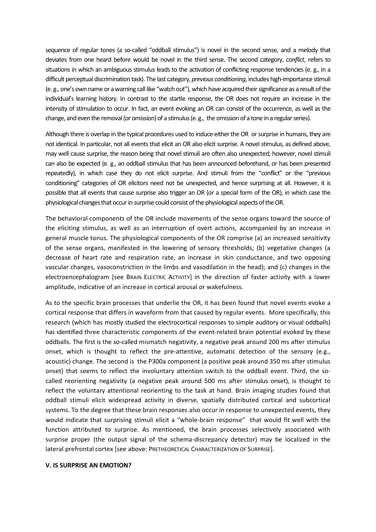sequence of regular tones (a so-called "oddball stimulus") is novel in the second sense, and a melody that deviates from one heard before would be novel in the third sense. The second category, *conflict*, refers to situations in which an ambiguous stimulus leads to the activation of conflicting response tendencies (e. g., in a difficult perceptual discrimination task). The last category, *previous conditioning*, includes high‐importance stimuli (e. g., one's own name or a warning call like "watch out"), which have acquired their significance as a result of the individual's learning history. In contrast to the startle response, the OR does not require an increase in the intensity of stimulation to occur. In fact, an event evoking an OR can consist of the occurrence, as well as the change, and even the removal (or omission) of a stimulus (e. g., the omission of a tone in a regular series).

Although there is overlap in the typical procedures used to induce either the OR or surprise in humans, they are not identical. In particular, not all events that elicit an OR also elicit surprise. A novel stimulus, as defined above, may well cause surprise, the reason being that novel stimuli are often also unexpected; however, novel stimuli can also be expected (e. g., an oddball stimulus that has been announced beforehand, or has been presented repeatedly), in which case they do not elicit surprise. And stimuli from the "conflict" or the "previous conditioning" categories of OR elicitors need not be unexpected, and hence surprising at all. However, it is possible that all events that cause surprise also trigger an OR (or a special form of the OR), in which case the physiological changes that occur in surprise could consist of the physiological aspects of the OR.

The behavioral components of the OR include movements of the sense organs toward the source of the eliciting stimulus, as well as an interruption of overt actions, accompanied by an increase in general muscle tonus. The physiological components of the OR comprise (a) an increased sensitivity of the sense organs, manifested in the lowering of sensory thresholds; (b) vegetative changes (a decrease of heart rate and respiration rate, an increase in skin conductance, and two opposing vascular changes, vasoconstriction in the limbs and vasodilation in the head); and (c) changes in the electroencephalogram [see BRAIN ELECTRIC ACTIVITY] in the direction of faster activity with a lower amplitude, indicative of an increase in cortical arousal or wakefulness.

As to the specific brain processes that underlie the OR, it has been found that novel events evoke a cortical response that differs in waveform from that caused by regular events. More specifically, this research (which has mostly studied the electrocortical responses to simple auditory or visual oddballs) has identified three characteristic components of the event-related brain potential evoked by these oddballs. The first is the so‐called mismatch negativity, a negative peak around 200 ms after stimulus onset, which is thought to reflect the pre-attentive, automatic detection of the sensory (e.g., acoustic) change. The second is the P300a component (a positive peak around 350 ms after stimulus onset) that seems to reflect the involuntary attention switch to the oddball event. Third, the socalled reorienting negativity (a negative peak around 500 ms after stimulus onset), is thought to reflect the voluntary attentional reorienting to the task at hand. Brain imaging studies found that oddball stimuli elicit widespread activity in diverse, spatially distributed cortical and subcortical systems. To the degree that these brain responses also occur in response to unexpected events, they would indicate that surprising stimuli elicit a "whole‐brain response" that would fit well with the function attributed to surprise. As mentioned, the brain processes selectively associated with surprise proper (the output signal of the schema-discrepancy detector) may be localized in the lateral prefrontal cortex [see above: PRETHEORETICAL CHARACTERIZATION OF SURPRISE].

#### **V. IS SURPRISE AN EMOTION?**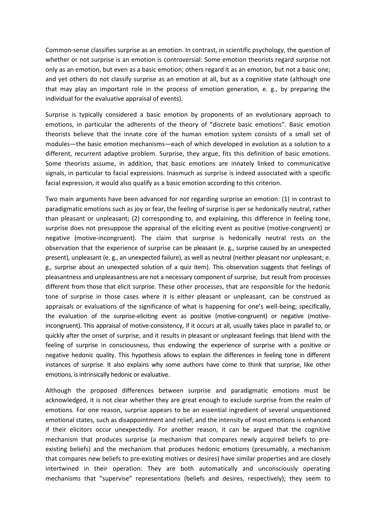Common‐sense classifies surprise as an emotion. In contrast, in scientific psychology, the question of whether or not surprise is an emotion is controversial: Some emotion theorists regard surprise not only as an emotion, but even as a basic emotion; others regard it as an emotion, but not a basic one; and yet others do not classify surprise as an emotion at all, but as a cognitive state (although one that may play an important role in the process of emotion generation, e. g., by preparing the individual for the evaluative appraisal of events).

Surprise is typically considered a basic emotion by proponents of an evolutionary approach to emotions, in particular the adherents of the theory of "discrete basic emotions". Basic emotion theorists believe that the innate core of the human emotion system consists of a small set of modules—the basic emotion mechanisms—each of which developed in evolution as a solution to a different, recurrent adaptive problem. Surprise, they argue, fits this definition of basic emotions. Some theorists assume, in addition, that basic emotions are innately linked to communicative signals, in particular to facial expressions. Inasmuch as surprise is indeed associated with a specific facial expression, it would also qualify as a basic emotion according to this criterion.

Two main arguments have been advanced for *not* regarding surprise an emotion: (1) in contrast to paradigmatic emotions such as joy or fear, the feeling of surprise is per se hedonically neutral, rather than pleasant or unpleasant; (2) corresponding to, and explaining, this difference in feeling tone, surprise does not presuppose the appraisal of the eliciting event as positive (motive‐congruent) or negative (motive‐incongruent). The claim that surprise is hedonically neutral rests on the observation that the experience of surprise can be pleasant (e. g., surprise caused by an unexpected present), unpleasant (e. g., an unexpected failure), as well as neutral (neither pleasant nor unpleasant; e. g., surprise about an unexpected solution of a quiz item). This observation suggests that feelings of pleasantness and unpleasantness are not a necessary component of surprise, but result from processes different from those that elicit surprise. These other processes, that are responsible for the hedonic tone of surprise in those cases where it is either pleasant or unpleasant, can be construed as appraisals or evaluations of the significance of what is happening for one's well‐being; specifically, the evaluation of the surprise-eliciting event as positive (motive-congruent) or negative (motiveincongruent). This appraisal of motive‐consistency, if it occurs at all, usually takes place in parallel to, or quickly after the onset of surprise, and it results in pleasant or unpleasant feelings that blend with the feeling of surprise in consciousness, thus endowing the experience of surprise with a positive or negative hedonic quality. This hypothesis allows to explain the differences in feeling tone in different instances of surprise. It also explains why some authors have come to think that surprise, like other emotions, is intrinsically hedonic or evaluative.

Although the proposed differences between surprise and paradigmatic emotions must be acknowledged, it is not clear whether they are great enough to exclude surprise from the realm of emotions. For one reason, surprise appears to be an essential ingredient of several unquestioned emotional states, such as disappointment and relief; and the intensity of most emotions is enhanced if their elicitors occur unexpectedly. For another reason, it can be argued that the cognitive mechanism that produces surprise (a mechanism that compares newly acquired beliefs to pre‐ existing beliefs) and the mechanism that produces hedonic emotions (presumably, a mechanism that compares new beliefs to pre‐existing motives or desires) have similar properties and are closely intertwined in their operation: They are both automatically and unconsciously operating mechanisms that "supervise" representations (beliefs and desires, respectively); they seem to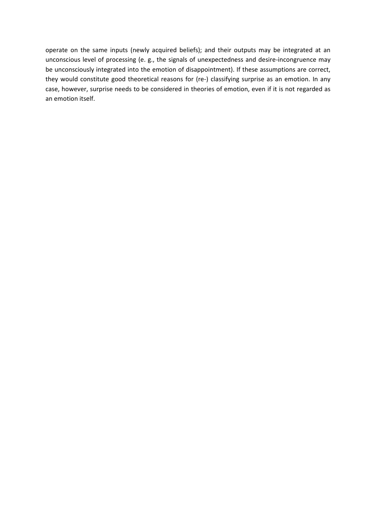operate on the same inputs (newly acquired beliefs); and their outputs may be integrated at an unconscious level of processing (e. g., the signals of unexpectedness and desire‐incongruence may be unconsciously integrated into the emotion of disappointment). If these assumptions are correct, they would constitute good theoretical reasons for (re-) classifying surprise as an emotion. In any case, however, surprise needs to be considered in theories of emotion, even if it is not regarded as an emotion itself.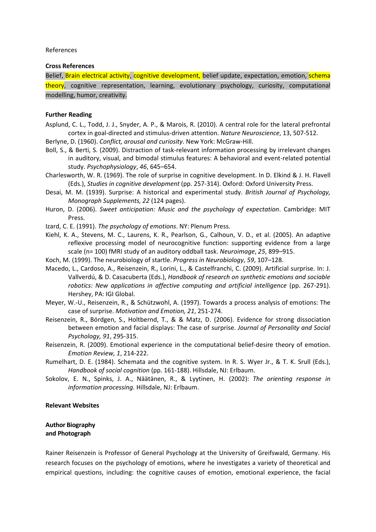#### References

#### **Cross References**

Belief, Brain electrical activity, cognitive development, belief update, expectation, emotion, schema theory, cognitive representation, learning, evolutionary psychology, curiosity, computational modelling, humor, creativity.

#### **Further Reading**

- Asplund, C. L., Todd, J. J., Snyder, A. P., & Marois, R. (2010). A central role for the lateral prefrontal cortex in goal‐directed and stimulus‐driven attention. *Nature Neuroscience*, 13, 507‐512.
- Berlyne, D. (1960). *Conflict, arousal and curiosity*. New York: McGraw‐Hill.
- Boll, S., & Berti, S. (2009). Distraction of task‐relevant information processing by irrelevant changes in auditory, visual, and bimodal stimulus features: A behavioral and event‐related potential study. *Psychophysiology*, *46*, 645–654.
- Charlesworth, W. R. (1969). The role of surprise in cognitive development. In D. Elkind & J. H. Flavell (Eds.), *Studies in cognitive development* (pp. 257‐314). Oxford: Oxford University Press.
- Desai, M. M. (1939). Surprise: A historical and experimental study. *British Journal of Psychology, Monograph Supplements, 22* (124 pages).
- Huron, D. (2006). *Sweet anticipation: Music and the psychology of expectation*. Cambridge: MIT Press.
- Izard, C. E. (1991). *The psychology of emotions*. NY: Plenum Press.
- Kiehl, K. A., Stevens, M. C., Laurens, K. R., Pearlson, G., Calhoun, V. D., et al. (2005). An adaptive reflexive processing model of neurocognitive function: supporting evidence from a large scale (n= 100) fMRI study of an auditory oddball task. *Neuroimage*, *25*, 899–915.
- Koch, M. (1999). The neurobiology of startle. *Progress in Neurobiology*, *59*, 107–128.
- Macedo, L., Cardoso, A., Reisenzein, R., Lorini, L., & Castelfranchi, C. (2009). Artificial surprise. In: J. Vallverdú, & D. Casacuberta (Eds.), *Handbook of research on synthetic emotions and sociable robotics: New applications in affective computing and artificial intelligence* (pp. 267-291). Hershey, PA: IGI Global.
- Meyer, W.‐U., Reisenzein, R., & Schützwohl, A. (1997). Towards a process analysis of emotions: The case of surprise. *Motivation and Emotion, 21*, 251‐274.
- Reisenzein, R., Bördgen, S., Holtbernd, T., & & Matz, D. (2006). Evidence for strong dissociation between emotion and facial displays: The case of surprise. *Journal of Personality and Social Psychology, 91*, 295‐315.
- Reisenzein, R. (2009). Emotional experience in the computational belief-desire theory of emotion. *Emotion Review, 1*, 214‐222.
- Rumelhart, D. E. (1984). Schemata and the cognitive system*.* In R. S. Wyer Jr., & T. K. Srull (Eds.), *Handbook of social cognition* (pp. 161‐188). Hillsdale, NJ: Erlbaum.
- Sokolov, E. N., Spinks, J. A., Näätänen, R., & Lyytinen, H. (2002): *The orienting response in information processing.* Hillsdale, NJ: Erlbaum.

#### **Relevant Websites**

## **Author Biography and Photograph**

Rainer Reisenzein is Professor of General Psychology at the University of Greifswald, Germany. His research focuses on the psychology of emotions, where he investigates a variety of theoretical and empirical questions, including: the cognitive causes of emotion, emotional experience, the facial